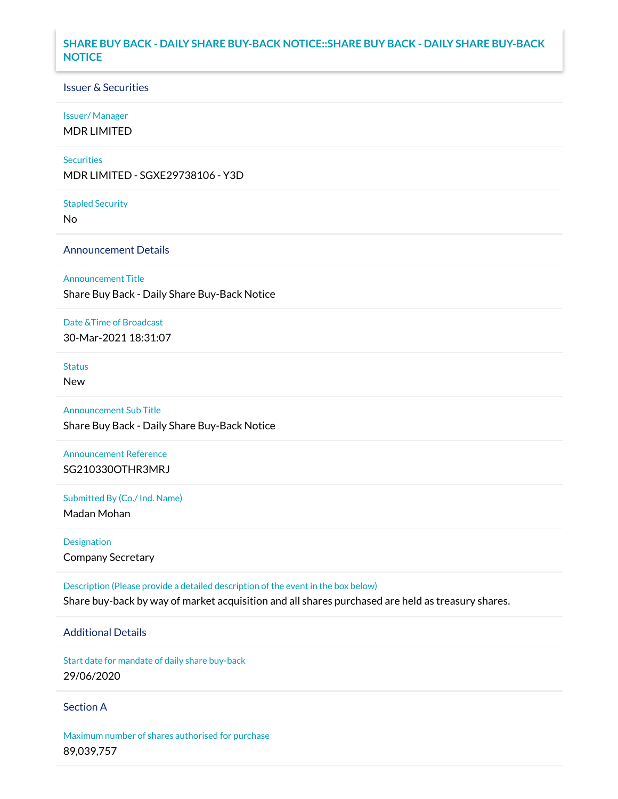### **SHARE BUY BACK - DAILY SHARE BUY-BACK NOTICE::SHARE BUY BACK - DAILY SHARE BUY-BACK NOTICE**

### Issuer & Securities

#### Issuer/ Manager

MDR LIMITED

#### **Securities**

MDR LIMITED - SGXE29738106 - Y3D

#### Stapled Security

No

### Announcement Details

#### Announcement Title

Share Buy Back - Daily Share Buy-Back Notice

#### Date &Time of Broadcast

30-Mar-2021 18:31:07

## Status

New

# Announcement Sub Title

Share Buy Back - Daily Share Buy-Back Notice

## Announcement Reference SG210330OTHR3MRJ

Submitted By (Co./ Ind. Name)

Madan Mohan

## Designation Company Secretary

Description (Please provide a detailed description of the event in the box below) Share buy-back by way of market acquisition and all shares purchased are held as treasury shares.

# Additional Details

Start date for mandate of daily share buy-back 29/06/2020

### Section A

Maximum number of shares authorised for purchase 89,039,757